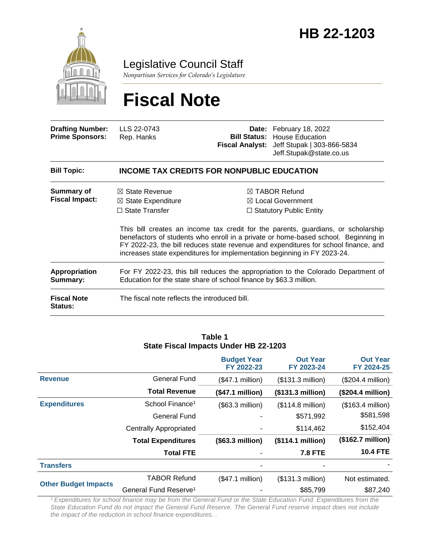

Legislative Council Staff

*Nonpartisan Services for Colorado's Legislature*

# **Fiscal Note**

| <b>Drafting Number:</b><br><b>Prime Sponsors:</b> | LLS 22-0743<br>Rep. Hanks                                                                                                                               |                                                   | Date: February 18, 2022<br><b>Bill Status: House Education</b><br>Fiscal Analyst: Jeff Stupak   303-866-5834<br>Jeff.Stupak@state.co.us                                                                                                                                                                                                                                                                                                  |
|---------------------------------------------------|---------------------------------------------------------------------------------------------------------------------------------------------------------|---------------------------------------------------|------------------------------------------------------------------------------------------------------------------------------------------------------------------------------------------------------------------------------------------------------------------------------------------------------------------------------------------------------------------------------------------------------------------------------------------|
| <b>Bill Topic:</b>                                |                                                                                                                                                         | <b>INCOME TAX CREDITS FOR NONPUBLIC EDUCATION</b> |                                                                                                                                                                                                                                                                                                                                                                                                                                          |
| <b>Summary of</b><br><b>Fiscal Impact:</b>        | $\boxtimes$ State Revenue<br>$\boxtimes$ State Expenditure<br>$\Box$ State Transfer                                                                     |                                                   | $\boxtimes$ TABOR Refund<br>$\boxtimes$ Local Government<br>$\Box$ Statutory Public Entity<br>This bill creates an income tax credit for the parents, guardians, or scholarship<br>benefactors of students who enroll in a private or home-based school. Beginning in<br>FY 2022-23, the bill reduces state revenue and expenditures for school finance, and<br>increases state expenditures for implementation beginning in FY 2023-24. |
| Appropriation<br>Summary:                         | For FY 2022-23, this bill reduces the appropriation to the Colorado Department of<br>Education for the state share of school finance by \$63.3 million. |                                                   |                                                                                                                                                                                                                                                                                                                                                                                                                                          |
| <b>Fiscal Note</b><br>Status:                     | The fiscal note reflects the introduced bill.                                                                                                           |                                                   |                                                                                                                                                                                                                                                                                                                                                                                                                                          |

#### **Table 1 State Fiscal Impacts Under HB 22-1203**

|                             |                                   | <b>Budget Year</b><br>FY 2022-23 | <b>Out Year</b><br>FY 2023-24 | <b>Out Year</b><br>FY 2024-25 |
|-----------------------------|-----------------------------------|----------------------------------|-------------------------------|-------------------------------|
| <b>Revenue</b>              | <b>General Fund</b>               | (\$47.1 million)                 | (\$131.3 million)             | $($204.4$ million)            |
|                             | <b>Total Revenue</b>              | (\$47.1 million)                 | (\$131.3 million)             | $($204.4 \text{ million})$    |
| <b>Expenditures</b>         | School Finance <sup>1</sup>       | $($63.3$ million)                | $($114.8 \text{ million})$    | $($163.4$ million)            |
|                             | General Fund                      |                                  | \$571,992                     | \$581,598                     |
|                             | <b>Centrally Appropriated</b>     |                                  | \$114,462                     | \$152,404                     |
|                             | <b>Total Expenditures</b>         | (\$63.3 million)                 | (\$114.1 million)             | $($162.7 \text{ million})$    |
|                             | <b>Total FTE</b>                  |                                  | <b>7.8 FTE</b>                | <b>10.4 FTE</b>               |
| <b>Transfers</b>            |                                   |                                  | -                             |                               |
| <b>Other Budget Impacts</b> | <b>TABOR Refund</b>               | (\$47.1 million)                 | (\$131.3 million)             | Not estimated.                |
|                             | General Fund Reserve <sup>1</sup> |                                  | \$85,799                      | \$87,240                      |

*<sup>1</sup>Expenditures for school finance may be from the General Fund or the State Education Fund. Expenditures from the State Education Fund do not impact the General Fund Reserve. The General Fund reserve impact does not include the impact of the reduction in school finance expenditures. .*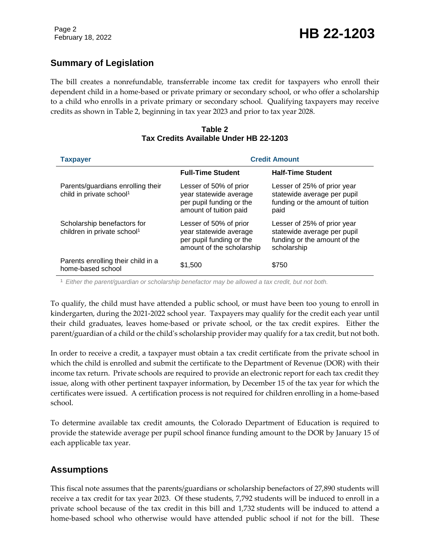### **Summary of Legislation**

The bill creates a nonrefundable, transferrable income tax credit for taxpayers who enroll their dependent child in a home-based or private primary or secondary school, or who offer a scholarship to a child who enrolls in a private primary or secondary school. Qualifying taxpayers may receive credits as shown in Table 2, beginning in tax year 2023 and prior to tax year 2028.

| <b>Taxpayer</b>                                                           | <b>Credit Amount</b>                                                                                      |                                                                                                           |  |
|---------------------------------------------------------------------------|-----------------------------------------------------------------------------------------------------------|-----------------------------------------------------------------------------------------------------------|--|
|                                                                           | <b>Full-Time Student</b>                                                                                  | <b>Half-Time Student</b>                                                                                  |  |
| Parents/guardians enrolling their<br>child in private school <sup>1</sup> | Lesser of 50% of prior<br>year statewide average<br>per pupil funding or the<br>amount of tuition paid    | Lesser of 25% of prior year<br>statewide average per pupil<br>funding or the amount of tuition<br>paid    |  |
| Scholarship benefactors for<br>children in private school <sup>1</sup>    | Lesser of 50% of prior<br>year statewide average<br>per pupil funding or the<br>amount of the scholarship | Lesser of 25% of prior year<br>statewide average per pupil<br>funding or the amount of the<br>scholarship |  |
| Parents enrolling their child in a<br>home-based school                   | \$1,500                                                                                                   | \$750                                                                                                     |  |

#### **Table 2 Tax Credits Available Under HB 22-1203**

<sup>1</sup> *Either the parent/guardian or scholarship benefactor may be allowed a tax credit, but not both.*

To qualify, the child must have attended a public school, or must have been too young to enroll in kindergarten, during the 2021-2022 school year. Taxpayers may qualify for the credit each year until their child graduates, leaves home-based or private school, or the tax credit expires. Either the parent/guardian of a child or the child's scholarship provider may qualify for a tax credit, but not both.

In order to receive a credit, a taxpayer must obtain a tax credit certificate from the private school in which the child is enrolled and submit the certificate to the Department of Revenue (DOR) with their income tax return. Private schools are required to provide an electronic report for each tax credit they issue, along with other pertinent taxpayer information, by December 15 of the tax year for which the certificates were issued. A certification process is not required for children enrolling in a home-based school.

To determine available tax credit amounts, the Colorado Department of Education is required to provide the statewide average per pupil school finance funding amount to the DOR by January 15 of each applicable tax year.

### **Assumptions**

This fiscal note assumes that the parents/guardians or scholarship benefactors of 27,890 students will receive a tax credit for tax year 2023. Of these students, 7,792 students will be induced to enroll in a private school because of the tax credit in this bill and 1,732 students will be induced to attend a home-based school who otherwise would have attended public school if not for the bill. These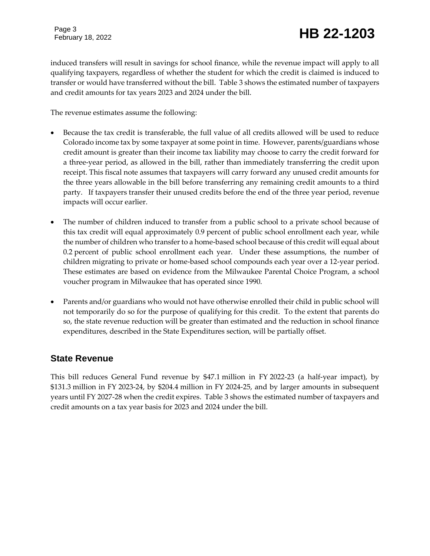# February 18, 2022 **HB 22-1203**

induced transfers will result in savings for school finance, while the revenue impact will apply to all qualifying taxpayers, regardless of whether the student for which the credit is claimed is induced to transfer or would have transferred without the bill. Table 3 shows the estimated number of taxpayers and credit amounts for tax years 2023 and 2024 under the bill.

The revenue estimates assume the following:

- Because the tax credit is transferable, the full value of all credits allowed will be used to reduce Colorado income tax by some taxpayer at some point in time. However, parents/guardians whose credit amount is greater than their income tax liability may choose to carry the credit forward for a three-year period, as allowed in the bill, rather than immediately transferring the credit upon receipt. This fiscal note assumes that taxpayers will carry forward any unused credit amounts for the three years allowable in the bill before transferring any remaining credit amounts to a third party. If taxpayers transfer their unused credits before the end of the three year period, revenue impacts will occur earlier.
- The number of children induced to transfer from a public school to a private school because of this tax credit will equal approximately 0.9 percent of public school enrollment each year, while the number of children who transfer to a home-based school because of this credit will equal about 0.2 percent of public school enrollment each year. Under these assumptions, the number of children migrating to private or home-based school compounds each year over a 12-year period. These estimates are based on evidence from the Milwaukee Parental Choice Program, a school voucher program in Milwaukee that has operated since 1990.
- Parents and/or guardians who would not have otherwise enrolled their child in public school will not temporarily do so for the purpose of qualifying for this credit. To the extent that parents do so, the state revenue reduction will be greater than estimated and the reduction in school finance expenditures, described in the State Expenditures section, will be partially offset.

### **State Revenue**

This bill reduces General Fund revenue by \$47.1 million in FY 2022-23 (a half-year impact), by \$131.3 million in FY 2023-24, by \$204.4 million in FY 2024-25, and by larger amounts in subsequent years until FY 2027-28 when the credit expires. Table 3 shows the estimated number of taxpayers and credit amounts on a tax year basis for 2023 and 2024 under the bill.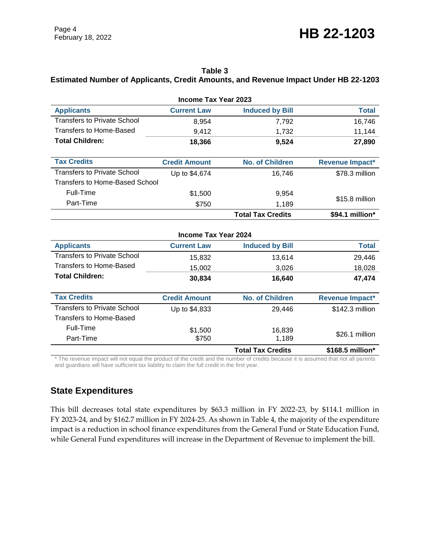## February 18, 2022 **HB 22-1203**

#### **Table 3**

#### **Estimated Number of Applicants, Credit Amounts, and Revenue Impact Under HB 22-1203**

| <b>Income Tax Year 2023</b>        |                      |                          |                  |  |  |
|------------------------------------|----------------------|--------------------------|------------------|--|--|
| <b>Applicants</b>                  | <b>Current Law</b>   | <b>Induced by Bill</b>   | <b>Total</b>     |  |  |
| <b>Transfers to Private School</b> | 8,954                | 7,792                    | 16,746           |  |  |
| <b>Transfers to Home-Based</b>     | 9,412                | 1,732                    | 11,144           |  |  |
| <b>Total Children:</b>             | 18,366               | 9,524                    | 27,890           |  |  |
|                                    |                      |                          |                  |  |  |
| <b>Tax Credits</b>                 | <b>Credit Amount</b> | <b>No. of Children</b>   | Revenue Impact*  |  |  |
| <b>Transfers to Private School</b> | Up to \$4,674        | 16,746                   | \$78.3 million   |  |  |
| Transfers to Home-Based School     |                      |                          |                  |  |  |
| Full-Time                          | \$1,500              | 9,954                    |                  |  |  |
| Part-Time                          | \$750                | 1,189                    | \$15.8 million   |  |  |
|                                    |                      | <b>Total Tax Credits</b> | \$94.1 million*  |  |  |
| <b>Income Tax Year 2024</b>        |                      |                          |                  |  |  |
| <b>Applicants</b>                  | <b>Current Law</b>   | <b>Induced by Bill</b>   | <b>Total</b>     |  |  |
| <b>Transfers to Private School</b> | 15,832               | 13,614                   | 29,446           |  |  |
| <b>Transfers to Home-Based</b>     | 15,002               | 3,026                    | 18,028           |  |  |
| <b>Total Children:</b>             | 30,834               | 16,640                   | 47,474           |  |  |
|                                    |                      |                          |                  |  |  |
| <b>Tax Credits</b>                 | <b>Credit Amount</b> | <b>No. of Children</b>   | Revenue Impact*  |  |  |
| <b>Transfers to Private School</b> | Up to \$4,833        | 29,446                   | \$142.3 million  |  |  |
| <b>Transfers to Home-Based</b>     |                      |                          |                  |  |  |
| Full-Time                          | \$1,500              | 16,839                   | \$26.1 million   |  |  |
| Part-Time                          | \$750                | 1,189                    |                  |  |  |
|                                    |                      | <b>Total Tax Credits</b> | \$168.5 million* |  |  |

\* The revenue impact will not equal the product of the credit and the number of credits because it is assumed that not all parents and guardians will have sufficient tax liability to claim the full credit in the first year.

#### **State Expenditures**

This bill decreases total state expenditures by \$63.3 million in FY 2022-23, by \$114.1 million in FY 2023-24, and by \$162.7 million in FY 2024-25. As shown in Table 4, the majority of the expenditure impact is a reduction in school finance expenditures from the General Fund or State Education Fund, while General Fund expenditures will increase in the Department of Revenue to implement the bill.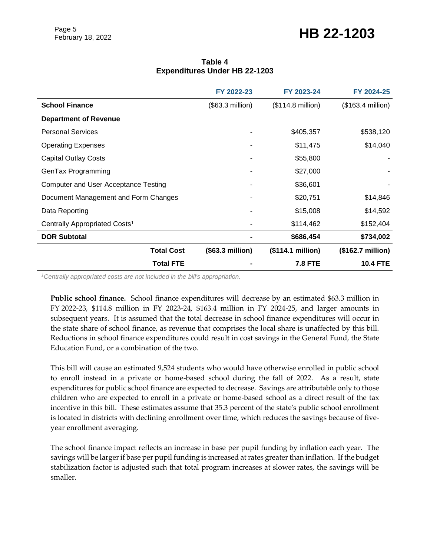### February 18, 2022 **HB 22-1203**

#### **Table 4 Expenditures Under HB 22-1203**

|                                           | FY 2022-23       | FY 2023-24        | FY 2024-25         |
|-------------------------------------------|------------------|-------------------|--------------------|
| <b>School Finance</b>                     | (\$63.3 million) | (\$114.8 million) | $($163.4$ million) |
| <b>Department of Revenue</b>              |                  |                   |                    |
| <b>Personal Services</b>                  |                  | \$405,357         | \$538,120          |
| <b>Operating Expenses</b>                 |                  | \$11,475          | \$14,040           |
| <b>Capital Outlay Costs</b>               |                  | \$55,800          |                    |
| GenTax Programming                        |                  | \$27,000          |                    |
| Computer and User Acceptance Testing      |                  | \$36,601          |                    |
| Document Management and Form Changes      |                  | \$20,751          | \$14,846           |
| Data Reporting                            |                  | \$15,008          | \$14,592           |
| Centrally Appropriated Costs <sup>1</sup> |                  | \$114,462         | \$152,404          |
| <b>DOR Subtotal</b>                       |                  | \$686,454         | \$734,002          |
| <b>Total Cost</b>                         | (\$63.3 million) | (\$114.1 million) | (\$162.7 million)  |
| <b>Total FTE</b>                          |                  | <b>7.8 FTE</b>    | <b>10.4 FTE</b>    |

*<sup>1</sup>Centrally appropriated costs are not included in the bill's appropriation.*

**Public school finance.** School finance expenditures will decrease by an estimated \$63.3 million in FY 2022-23, \$114.8 million in FY 2023-24, \$163.4 million in FY 2024-25, and larger amounts in subsequent years. It is assumed that the total decrease in school finance expenditures will occur in the state share of school finance, as revenue that comprises the local share is unaffected by this bill. Reductions in school finance expenditures could result in cost savings in the General Fund, the State Education Fund, or a combination of the two.

This bill will cause an estimated 9,524 students who would have otherwise enrolled in public school to enroll instead in a private or home-based school during the fall of 2022. As a result, state expenditures for public school finance are expected to decrease. Savings are attributable only to those children who are expected to enroll in a private or home-based school as a direct result of the tax incentive in this bill. These estimates assume that 35.3 percent of the state's public school enrollment is located in districts with declining enrollment over time, which reduces the savings because of fiveyear enrollment averaging.

The school finance impact reflects an increase in base per pupil funding by inflation each year. The savings will be larger if base per pupil funding is increased at rates greater than inflation. If the budget stabilization factor is adjusted such that total program increases at slower rates, the savings will be smaller.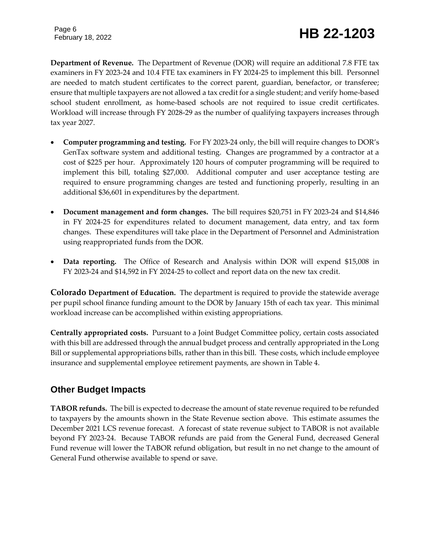Page 6

# February 18, 2022 **HB 22-1203**

**Department of Revenue.** The Department of Revenue (DOR) will require an additional 7.8 FTE tax examiners in FY 2023-24 and 10.4 FTE tax examiners in FY 2024-25 to implement this bill. Personnel are needed to match student certificates to the correct parent, guardian, benefactor, or transferee; ensure that multiple taxpayers are not allowed a tax credit for a single student; and verify home-based school student enrollment, as home-based schools are not required to issue credit certificates. Workload will increase through FY 2028-29 as the number of qualifying taxpayers increases through tax year 2027.

- **Computer programming and testing.** For FY 2023-24 only, the bill will require changes to DOR's GenTax software system and additional testing. Changes are programmed by a contractor at a cost of \$225 per hour. Approximately 120 hours of computer programming will be required to implement this bill, totaling \$27,000. Additional computer and user acceptance testing are required to ensure programming changes are tested and functioning properly, resulting in an additional \$36,601 in expenditures by the department.
- **Document management and form changes.** The bill requires \$20,751 in FY 2023-24 and \$14,846 in FY 2024-25 for expenditures related to document management, data entry, and tax form changes. These expenditures will take place in the Department of Personnel and Administration using reappropriated funds from the DOR.
- **Data reporting.** The Office of Research and Analysis within DOR will expend \$15,008 in FY 2023-24 and \$14,592 in FY 2024-25 to collect and report data on the new tax credit.

**Colorado Department of Education.** The department is required to provide the statewide average per pupil school finance funding amount to the DOR by January 15th of each tax year. This minimal workload increase can be accomplished within existing appropriations.

**Centrally appropriated costs.** Pursuant to a Joint Budget Committee policy, certain costs associated with this bill are addressed through the annual budget process and centrally appropriated in the Long Bill or supplemental appropriations bills, rather than in this bill. These costs, which include employee insurance and supplemental employee retirement payments, are shown in Table 4.

### **Other Budget Impacts**

**TABOR refunds.** The bill is expected to decrease the amount of state revenue required to be refunded to taxpayers by the amounts shown in the State Revenue section above. This estimate assumes the December 2021 LCS revenue forecast. A forecast of state revenue subject to TABOR is not available beyond FY 2023-24. Because TABOR refunds are paid from the General Fund, decreased General Fund revenue will lower the TABOR refund obligation, but result in no net change to the amount of General Fund otherwise available to spend or save.